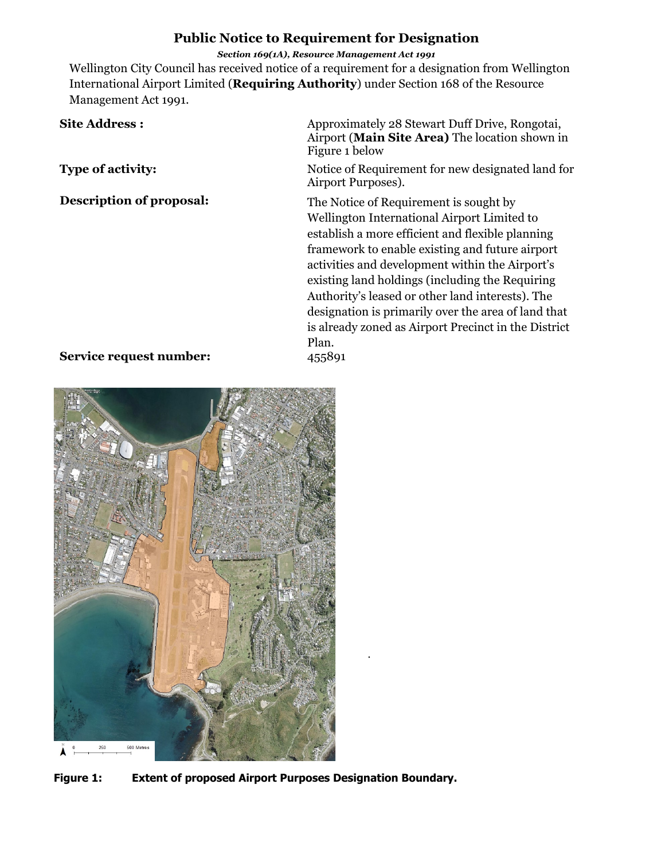## **Public Notice to Requirement for Designation**

*Section 169(1A), Resource Management Act 1991*

Wellington City Council has received notice of a requirement for a designation from Wellington International Airport Limited (**Requiring Authority**) under Section 168 of the Resource Management Act 1991.

# Site Address : Approximately 28 Stewart Duff Drive, Rongotai, Airport (**Main Site Area)** The location shown in Figure 1 below **Type of activity:** Notice of Requirement for new designated land for Airport Purposes). **Description of proposal:** The Notice of Requirement is sought by Wellington International Airport Limited to

establish a more efficient and flexible planning framework to enable existing and future airport activities and development within the Airport's existing land holdings (including the Requiring Authority's leased or other land interests). The designation is primarily over the area of land that is already zoned as Airport Precinct in the District Plan.

### **Service request number:** 455891



**Figure 1: Extent of proposed Airport Purposes Designation Boundary.**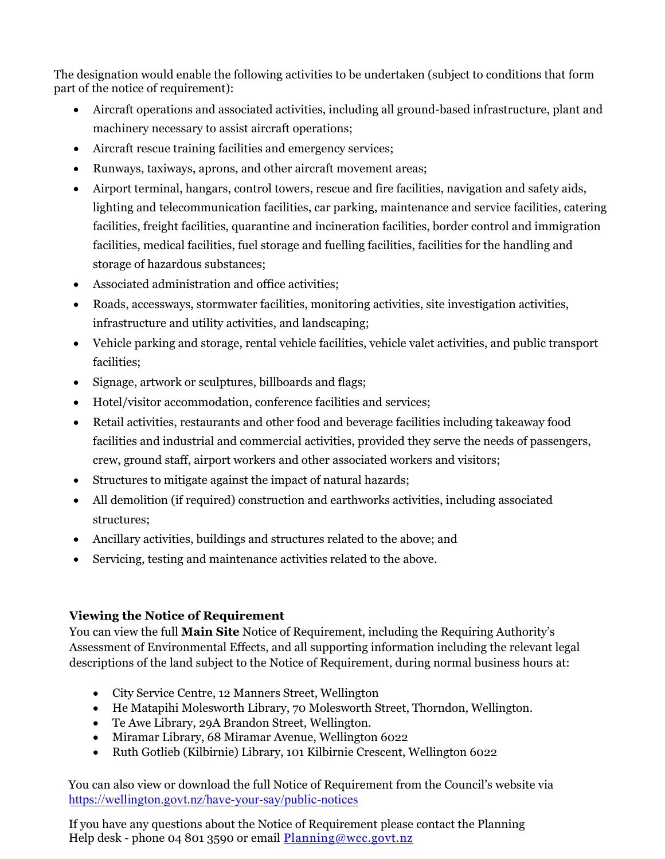The designation would enable the following activities to be undertaken (subject to conditions that form part of the notice of requirement):

- Aircraft operations and associated activities, including all ground-based infrastructure, plant and machinery necessary to assist aircraft operations;
- Aircraft rescue training facilities and emergency services;
- Runways, taxiways, aprons, and other aircraft movement areas;
- Airport terminal, hangars, control towers, rescue and fire facilities, navigation and safety aids, lighting and telecommunication facilities, car parking, maintenance and service facilities, catering facilities, freight facilities, quarantine and incineration facilities, border control and immigration facilities, medical facilities, fuel storage and fuelling facilities, facilities for the handling and storage of hazardous substances;
- Associated administration and office activities;
- Roads, accessways, stormwater facilities, monitoring activities, site investigation activities, infrastructure and utility activities, and landscaping;
- Vehicle parking and storage, rental vehicle facilities, vehicle valet activities, and public transport facilities;
- Signage, artwork or sculptures, billboards and flags;
- Hotel/visitor accommodation, conference facilities and services;
- Retail activities, restaurants and other food and beverage facilities including takeaway food facilities and industrial and commercial activities, provided they serve the needs of passengers, crew, ground staff, airport workers and other associated workers and visitors;
- Structures to mitigate against the impact of natural hazards;
- All demolition (if required) construction and earthworks activities, including associated structures;
- Ancillary activities, buildings and structures related to the above; and
- Servicing, testing and maintenance activities related to the above.

# **Viewing the Notice of Requirement**

You can view the full **Main Site** Notice of Requirement, including the Requiring Authority's Assessment of Environmental Effects, and all supporting information including the relevant legal descriptions of the land subject to the Notice of Requirement, during normal business hours at:

- City Service Centre, 12 Manners Street, Wellington
- He Matapihi Molesworth Library, 70 Molesworth Street, Thorndon, Wellington.
- Te Awe Library, 29A Brandon Street, Wellington.
- Miramar Library, 68 Miramar Avenue, Wellington 6022
- Ruth Gotlieb (Kilbirnie) Library, 101 Kilbirnie Crescent, Wellington 6022

You can also view or download the full Notice of Requirement from the Council's website via <https://wellington.govt.nz/have-your-say/public-notices>

If you have any questions about the Notice of Requirement please contact the Planning Help desk - phone 04 801 3590 or email [Planning@wcc.govt.nz](mailto:Planning@wcc.govt.nz)